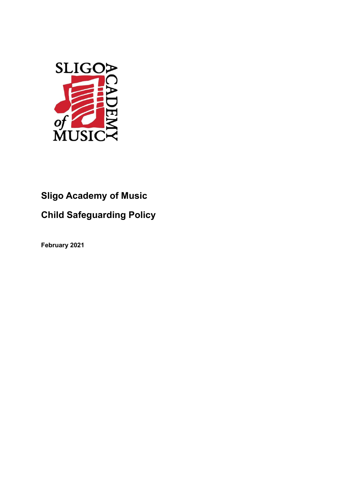

# Sligo Academy of Music

# Child Safeguarding Policy

February 2021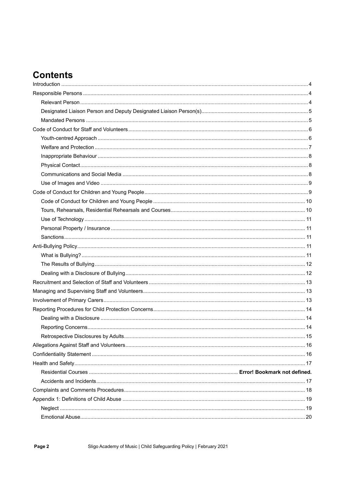# **Contents**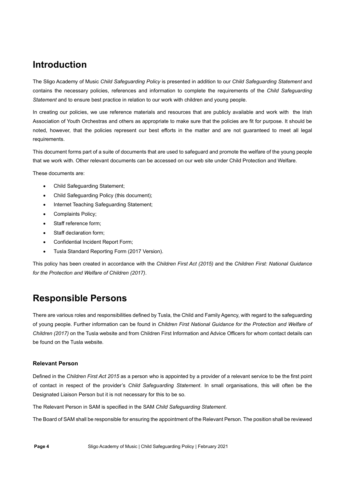# Introduction

The Sligo Academy of Music Child Safeguarding Policy is presented in addition to our Child Safeguarding Statement and contains the necessary policies, references and information to complete the requirements of the Child Safeguarding Statement and to ensure best practice in relation to our work with children and young people.

In creating our policies, we use reference materials and resources that are publicly available and work with the Irish Association of Youth Orchestras and others as appropriate to make sure that the policies are fit for purpose. It should be noted, however, that the policies represent our best efforts in the matter and are not guaranteed to meet all legal requirements.

This document forms part of a suite of documents that are used to safeguard and promote the welfare of the young people that we work with. Other relevant documents can be accessed on our web site under Child Protection and Welfare.

These documents are:

- Child Safeguarding Statement;
- Child Safeguarding Policy (this document);
- Internet Teaching Safeguarding Statement;
- Complaints Policy;
- Staff reference form:
- Staff declaration form;
- Confidential Incident Report Form;
- Tusla Standard Reporting Form (2017 Version).

This policy has been created in accordance with the Children First Act (2015) and the Children First: National Guidance for the Protection and Welfare of Children (2017).

## Responsible Persons

There are various roles and responsibilities defined by Tusla, the Child and Family Agency, with regard to the safeguarding of young people. Further information can be found in Children First National Guidance for the Protection and Welfare of Children (2017) on the Tusla website and from Children First Information and Advice Officers for whom contact details can be found on the Tusla website.

### Relevant Person

Defined in the Children First Act 2015 as a person who is appointed by a provider of a relevant service to be the first point of contact in respect of the provider's Child Safeguarding Statement. In small organisations, this will often be the Designated Liaison Person but it is not necessary for this to be so.

The Relevant Person in SAM is specified in the SAM Child Safeguarding Statement.

The Board of SAM shall be responsible for ensuring the appointment of the Relevant Person. The position shall be reviewed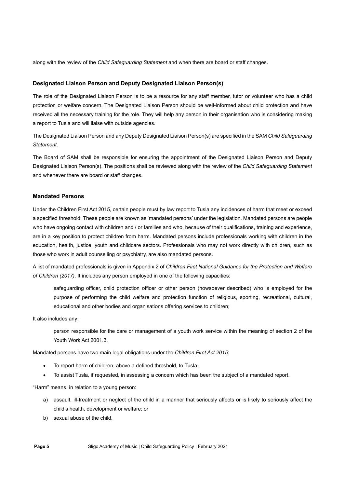along with the review of the Child Safeguarding Statement and when there are board or staff changes.

#### Designated Liaison Person and Deputy Designated Liaison Person(s)

The role of the Designated Liaison Person is to be a resource for any staff member, tutor or volunteer who has a child protection or welfare concern. The Designated Liaison Person should be well-informed about child protection and have received all the necessary training for the role. They will help any person in their organisation who is considering making a report to Tusla and will liaise with outside agencies.

The Designated Liaison Person and any Deputy Designated Liaison Person(s) are specified in the SAM Child Safeguarding Statement.

The Board of SAM shall be responsible for ensuring the appointment of the Designated Liaison Person and Deputy Designated Liaison Person(s). The positions shall be reviewed along with the review of the Child Safeguarding Statement and whenever there are board or staff changes.

#### Mandated Persons

Under the Children First Act 2015, certain people must by law report to Tusla any incidences of harm that meet or exceed a specified threshold. These people are known as 'mandated persons' under the legislation. Mandated persons are people who have ongoing contact with children and / or families and who, because of their qualifications, training and experience, are in a key position to protect children from harm. Mandated persons include professionals working with children in the education, health, justice, youth and childcare sectors. Professionals who may not work directly with children, such as those who work in adult counselling or psychiatry, are also mandated persons.

A list of mandated professionals is given in Appendix 2 of Children First National Guidance for the Protection and Welfare of Children (2017). It includes any person employed in one of the following capacities:

safeguarding officer, child protection officer or other person (howsoever described) who is employed for the purpose of performing the child welfare and protection function of religious, sporting, recreational, cultural, educational and other bodies and organisations offering services to children;

It also includes any:

person responsible for the care or management of a youth work service within the meaning of section 2 of the Youth Work Act 2001.3.

Mandated persons have two main legal obligations under the Children First Act 2015:

- To report harm of children, above a defined threshold, to Tusla;
- To assist Tusla, if requested, in assessing a concern which has been the subject of a mandated report.

"Harm" means, in relation to a young person:

- a) assault, ill-treatment or neglect of the child in a manner that seriously affects or is likely to seriously affect the child's health, development or welfare; or
- b) sexual abuse of the child.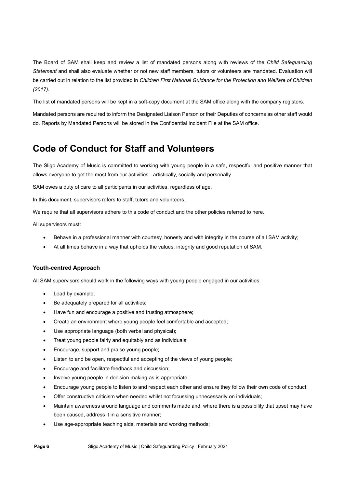The Board of SAM shall keep and review a list of mandated persons along with reviews of the Child Safeguarding Statement and shall also evaluate whether or not new staff members, tutors or volunteers are mandated. Evaluation will be carried out in relation to the list provided in Children First National Guidance for the Protection and Welfare of Children (2017).

The list of mandated persons will be kept in a soft-copy document at the SAM office along with the company registers.

Mandated persons are required to inform the Designated Liaison Person or their Deputies of concerns as other staff would do. Reports by Mandated Persons will be stored in the Confidential Incident File at the SAM office.

# Code of Conduct for Staff and Volunteers

The Sligo Academy of Music is committed to working with young people in a safe, respectful and positive manner that allows everyone to get the most from our activities - artistically, socially and personally.

SAM owes a duty of care to all participants in our activities, regardless of age.

In this document, supervisors refers to staff, tutors and volunteers.

We require that all supervisors adhere to this code of conduct and the other policies referred to here.

All supervisors must:

- Behave in a professional manner with courtesy, honesty and with integrity in the course of all SAM activity;
- At all times behave in a way that upholds the values, integrity and good reputation of SAM.

### Youth-centred Approach

All SAM supervisors should work in the following ways with young people engaged in our activities:

- Lead by example;
- Be adequately prepared for all activities:
- Have fun and encourage a positive and trusting atmosphere;
- Create an environment where young people feel comfortable and accepted:
- Use appropriate language (both verbal and physical);
- Treat young people fairly and equitably and as individuals;
- Encourage, support and praise young people;
- Listen to and be open, respectful and accepting of the views of young people;
- Encourage and facilitate feedback and discussion;
- Involve young people in decision making as is appropriate;
- Encourage young people to listen to and respect each other and ensure they follow their own code of conduct;
- Offer constructive criticism when needed whilst not focussing unnecessarily on individuals;
- Maintain awareness around language and comments made and, where there is a possibility that upset may have been caused, address it in a sensitive manner;
- Use age-appropriate teaching aids, materials and working methods;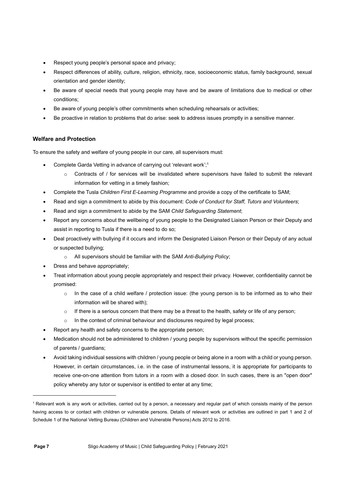- Respect young people's personal space and privacy;
- Respect differences of ability, culture, religion, ethnicity, race, socioeconomic status, family background, sexual orientation and gender identity;
- Be aware of special needs that young people may have and be aware of limitations due to medical or other conditions;
- Be aware of young people's other commitments when scheduling rehearsals or activities;
- Be proactive in relation to problems that do arise: seek to address issues promptly in a sensitive manner.

### Welfare and Protection

To ensure the safety and welfare of young people in our care, all supervisors must:

- Complete Garda Vetting in advance of carrying out 'relevant work';<sup>1</sup>
	- o Contracts of / for services will be invalidated where supervisors have failed to submit the relevant information for vetting in a timely fashion;
- Complete the Tusla Children First E-Learning Programme and provide a copy of the certificate to SAM;
- Read and sign a commitment to abide by this document: Code of Conduct for Staff, Tutors and Volunteers:
- Read and sign a commitment to abide by the SAM Child Safeguarding Statement;
- Report any concerns about the wellbeing of young people to the Designated Liaison Person or their Deputy and assist in reporting to Tusla if there is a need to do so;
- Deal proactively with bullying if it occurs and inform the Designated Liaison Person or their Deputy of any actual or suspected bullying;
	- o All supervisors should be familiar with the SAM Anti-Bullying Policy;
- Dress and behave appropriately;
- Treat information about young people appropriately and respect their privacy. However, confidentiality cannot be promised:
	- $\circ$  In the case of a child welfare / protection issue: (the young person is to be informed as to who their information will be shared with);
	- $\circ$  If there is a serious concern that there may be a threat to the health, safety or life of any person;
	- o In the context of criminal behaviour and disclosures required by legal process;
- Report any health and safety concerns to the appropriate person;
- Medication should not be administered to children / young people by supervisors without the specific permission of parents / guardians;
- Avoid taking individual sessions with children / young people or being alone in a room with a child or young person. However, in certain circumstances, i.e. in the case of instrumental lessons, it is appropriate for participants to receive one-on-one attention from tutors in a room with a closed door. In such cases, there is an "open door" policy whereby any tutor or supervisor is entitled to enter at any time;

<sup>&</sup>lt;sup>1</sup> Relevant work is any work or activities, carried out by a person, a necessary and regular part of which consists mainly of the person having access to or contact with children or vulnerable persons. Details of relevant work or activities are outlined in part 1 and 2 of Schedule 1 of the National Vetting Bureau (Children and Vulnerable Persons) Acts 2012 to 2016.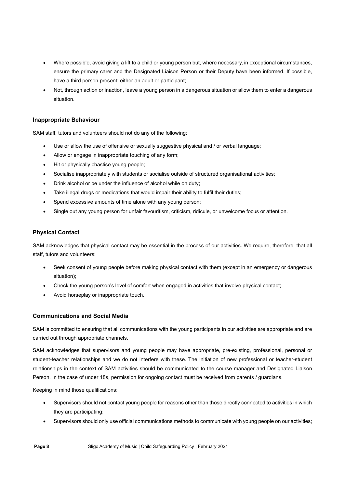- Where possible, avoid giving a lift to a child or young person but, where necessary, in exceptional circumstances, ensure the primary carer and the Designated Liaison Person or their Deputy have been informed. If possible, have a third person present: either an adult or participant;
- Not, through action or inaction, leave a young person in a dangerous situation or allow them to enter a dangerous situation.

### Inappropriate Behaviour

SAM staff, tutors and volunteers should not do any of the following:

- Use or allow the use of offensive or sexually suggestive physical and / or verbal language;
- Allow or engage in inappropriate touching of any form;
- Hit or physically chastise young people;
- Socialise inappropriately with students or socialise outside of structured organisational activities;
- Drink alcohol or be under the influence of alcohol while on duty;
- Take illegal drugs or medications that would impair their ability to fulfil their duties;
- Spend excessive amounts of time alone with any young person;
- Single out any young person for unfair favouritism, criticism, ridicule, or unwelcome focus or attention.

### Physical Contact

SAM acknowledges that physical contact may be essential in the process of our activities. We require, therefore, that all staff, tutors and volunteers:

- Seek consent of young people before making physical contact with them (except in an emergency or dangerous situation);
- Check the young person's level of comfort when engaged in activities that involve physical contact;
- Avoid horseplay or inappropriate touch.

### Communications and Social Media

SAM is committed to ensuring that all communications with the young participants in our activities are appropriate and are carried out through appropriate channels.

SAM acknowledges that supervisors and young people may have appropriate, pre-existing, professional, personal or student-teacher relationships and we do not interfere with these. The initiation of new professional or teacher-student relationships in the context of SAM activities should be communicated to the course manager and Designated Liaison Person. In the case of under 18s, permission for ongoing contact must be received from parents / guardians.

Keeping in mind those qualifications:

- Supervisors should not contact young people for reasons other than those directly connected to activities in which they are participating;
- Supervisors should only use official communications methods to communicate with young people on our activities;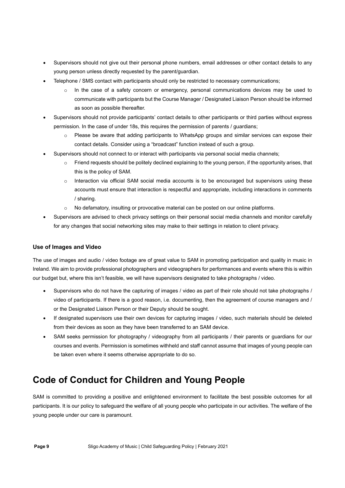- Supervisors should not give out their personal phone numbers, email addresses or other contact details to any young person unless directly requested by the parent/guardian.
- Telephone / SMS contact with participants should only be restricted to necessary communications;
	- o In the case of a safety concern or emergency, personal communications devices may be used to communicate with participants but the Course Manager / Designated Liaison Person should be informed as soon as possible thereafter.
- Supervisors should not provide participants' contact details to other participants or third parties without express permission. In the case of under 18s, this requires the permission of parents / guardians;
	- o Please be aware that adding participants to WhatsApp groups and similar services can expose their contact details. Consider using a "broadcast" function instead of such a group.
- Supervisors should not connect to or interact with participants via personal social media channels;
	- $\circ$  Friend requests should be politely declined explaining to the young person, if the opportunity arises, that this is the policy of SAM.
	- o Interaction via official SAM social media accounts is to be encouraged but supervisors using these accounts must ensure that interaction is respectful and appropriate, including interactions in comments / sharing.
	- o No defamatory, insulting or provocative material can be posted on our online platforms.
- Supervisors are advised to check privacy settings on their personal social media channels and monitor carefully for any changes that social networking sites may make to their settings in relation to client privacy.

### Use of Images and Video

The use of images and audio / video footage are of great value to SAM in promoting participation and quality in music in Ireland. We aim to provide professional photographers and videographers for performances and events where this is within our budget but, where this isn't feasible, we will have supervisors designated to take photographs / video.

- Supervisors who do not have the capturing of images / video as part of their role should not take photographs / video of participants. If there is a good reason, i.e. documenting, then the agreement of course managers and / or the Designated Liaison Person or their Deputy should be sought.
- If designated supervisors use their own devices for capturing images / video, such materials should be deleted from their devices as soon as they have been transferred to an SAM device.
- SAM seeks permission for photography / videography from all participants / their parents or guardians for our courses and events. Permission is sometimes withheld and staff cannot assume that images of young people can be taken even where it seems otherwise appropriate to do so.

## Code of Conduct for Children and Young People

SAM is committed to providing a positive and enlightened environment to facilitate the best possible outcomes for all participants. It is our policy to safeguard the welfare of all young people who participate in our activities. The welfare of the young people under our care is paramount.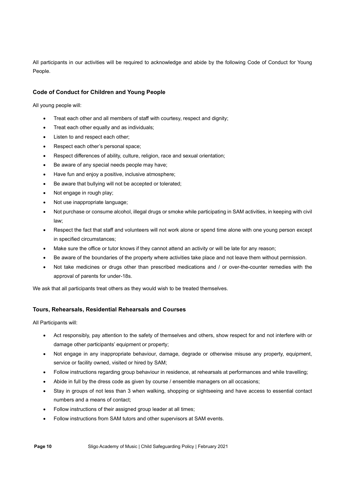All participants in our activities will be required to acknowledge and abide by the following Code of Conduct for Young People.

### Code of Conduct for Children and Young People

All young people will:

- Treat each other and all members of staff with courtesy, respect and dignity;
- Treat each other equally and as individuals;
- Listen to and respect each other;
- Respect each other's personal space;
- Respect differences of ability, culture, religion, race and sexual orientation;
- Be aware of any special needs people may have;
- Have fun and enjoy a positive, inclusive atmosphere;
- Be aware that bullying will not be accepted or tolerated;
- Not engage in rough play;
- Not use inappropriate language;
- Not purchase or consume alcohol, illegal drugs or smoke while participating in SAM activities, in keeping with civil law;
- Respect the fact that staff and volunteers will not work alone or spend time alone with one young person except in specified circumstances;
- Make sure the office or tutor knows if they cannot attend an activity or will be late for any reason;
- Be aware of the boundaries of the property where activities take place and not leave them without permission.
- Not take medicines or drugs other than prescribed medications and / or over-the-counter remedies with the approval of parents for under-18s.

We ask that all participants treat others as they would wish to be treated themselves.

#### Tours, Rehearsals, Residential Rehearsals and Courses

All Participants will:

- Act responsibly, pay attention to the safety of themselves and others, show respect for and not interfere with or damage other participants' equipment or property;
- Not engage in any inappropriate behaviour, damage, degrade or otherwise misuse any property, equipment, service or facility owned, visited or hired by SAM;
- Follow instructions regarding group behaviour in residence, at rehearsals at performances and while travelling;
- Abide in full by the dress code as given by course / ensemble managers on all occasions;
- Stay in groups of not less than 3 when walking, shopping or sightseeing and have access to essential contact numbers and a means of contact;
- Follow instructions of their assigned group leader at all times;
- Follow instructions from SAM tutors and other supervisors at SAM events.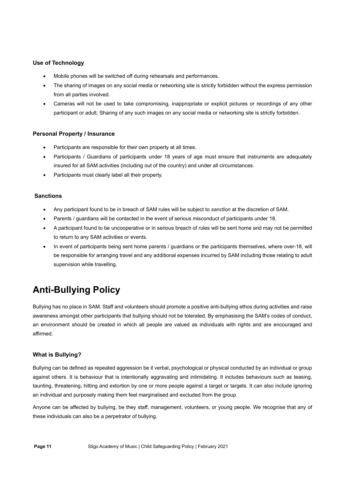### Use of Technology

- Mobile phones will be switched off during rehearsals and performances.
- The sharing of images on any social media or networking site is strictly forbidden without the express permission from all parties involved.
- Cameras will not be used to take compromising, inappropriate or explicit pictures or recordings of any other participant or adult. Sharing of any such images on any social media or networking site is strictly forbidden.

#### Personal Property / Insurance

- Participants are responsible for their own property at all times.
- Participants / Guardians of participants under 18 years of age must ensure that instruments are adequately insured for all SAM activities (including out of the country) and under all circumstances.
- Participants must clearly label all their property.

#### Sanctions

- Any participant found to be in breach of SAM rules will be subject to sanction at the discretion of SAM.
- Parents / guardians will be contacted in the event of serious misconduct of participants under 18.
- A participant found to be uncooperative or in serious breach of rules will be sent home and may not be permitted to return to any SAM activities or events.
- In event of participants being sent home parents / guardians or the participants themselves, where over-18, will be responsible for arranging travel and any additional expenses incurred by SAM including those relating to adult supervision while travelling.

# Anti-Bullying Policy

Bullying has no place in SAM. Staff and volunteers should promote a positive anti-bullying ethos during activities and raise awareness amongst other participants that bullying should not be tolerated. By emphasising the SAM's codes of conduct, an environment should be created in which all people are valued as individuals with rights and are encouraged and affirmed.

### What is Bullying?

Bullying can be defined as repeated aggression be it verbal, psychological or physical conducted by an individual or group against others. It is behaviour that is intentionally aggravating and intimidating. It includes behaviours such as teasing, taunting, threatening, hitting and extortion by one or more people against a target or targets. It can also include ignoring an individual and purposely making them feel marginalised and excluded from the group.

Anyone can be affected by bullying, be they staff, management, volunteers, or young people. We recognise that any of these individuals can also be a perpetrator of bullying.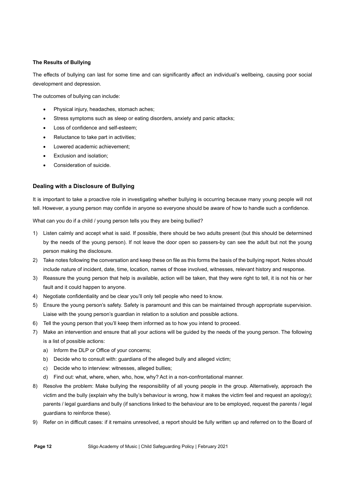#### The Results of Bullying

The effects of bullying can last for some time and can significantly affect an individual's wellbeing, causing poor social development and depression.

The outcomes of bullying can include:

- Physical injury, headaches, stomach aches;
- Stress symptoms such as sleep or eating disorders, anxiety and panic attacks;
- Loss of confidence and self-esteem:
- Reluctance to take part in activities;
- Lowered academic achievement;
- Exclusion and isolation;
- **Consideration of suicide.**

#### Dealing with a Disclosure of Bullying

It is important to take a proactive role in investigating whether bullying is occurring because many young people will not tell. However, a young person may confide in anyone so everyone should be aware of how to handle such a confidence.

What can you do if a child / young person tells you they are being bullied?

- 1) Listen calmly and accept what is said. If possible, there should be two adults present (but this should be determined by the needs of the young person). If not leave the door open so passers-by can see the adult but not the young person making the disclosure.
- 2) Take notes following the conversation and keep these on file as this forms the basis of the bullying report. Notes should include nature of incident, date, time, location, names of those involved, witnesses, relevant history and response.
- 3) Reassure the young person that help is available, action will be taken, that they were right to tell, it is not his or her fault and it could happen to anyone.
- 4) Negotiate confidentiality and be clear you'll only tell people who need to know.
- 5) Ensure the young person's safety. Safety is paramount and this can be maintained through appropriate supervision. Liaise with the young person's guardian in relation to a solution and possible actions.
- 6) Tell the young person that you'll keep them informed as to how you intend to proceed.
- 7) Make an intervention and ensure that all your actions will be guided by the needs of the young person. The following is a list of possible actions:
	- a) Inform the DLP or Office of your concerns;
	- b) Decide who to consult with: guardians of the alleged bully and alleged victim;
	- c) Decide who to interview: witnesses, alleged bullies;
	- d) Find out: what, where, when, who, how, why? Act in a non-confrontational manner.
- 8) Resolve the problem: Make bullying the responsibility of all young people in the group. Alternatively, approach the victim and the bully (explain why the bully's behaviour is wrong, how it makes the victim feel and request an apology); parents / legal guardians and bully (if sanctions linked to the behaviour are to be employed, request the parents / legal guardians to reinforce these).
- 9) Refer on in difficult cases: if it remains unresolved, a report should be fully written up and referred on to the Board of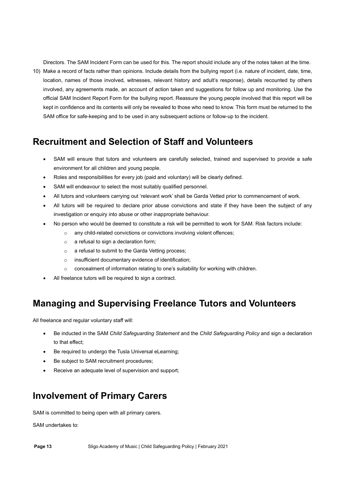Directors. The SAM Incident Form can be used for this. The report should include any of the notes taken at the time.

10) Make a record of facts rather than opinions. Include details from the bullying report (i.e. nature of incident, date, time, location, names of those involved, witnesses, relevant history and adult's response), details recounted by others involved, any agreements made, an account of action taken and suggestions for follow up and monitoring. Use the official SAM Incident Report Form for the bullying report. Reassure the young people involved that this report will be kept in confidence and its contents will only be revealed to those who need to know. This form must be returned to the SAM office for safe-keeping and to be used in any subsequent actions or follow-up to the incident.

## Recruitment and Selection of Staff and Volunteers

- SAM will ensure that tutors and volunteers are carefully selected, trained and supervised to provide a safe environment for all children and young people.
- Roles and responsibilities for every job (paid and voluntary) will be clearly defined.
- SAM will endeavour to select the most suitably qualified personnel.
- All tutors and volunteers carrying out 'relevant work' shall be Garda Vetted prior to commencement of work.
- All tutors will be required to declare prior abuse convictions and state if they have been the subject of any investigation or enquiry into abuse or other inappropriate behaviour.
- No person who would be deemed to constitute a risk will be permitted to work for SAM. Risk factors include:
	- o any child-related convictions or convictions involving violent offences;
	- $\circ$  a refusal to sign a declaration form;
	- o a refusal to submit to the Garda Vetting process;
	- o insufficient documentary evidence of identification;
	- o concealment of information relating to one's suitability for working with children.
- All freelance tutors will be required to sign a contract.

# Managing and Supervising Freelance Tutors and Volunteers

All freelance and regular voluntary staff will:

- Be inducted in the SAM Child Safeguarding Statement and the Child Safeguarding Policy and sign a declaration to that effect;
- Be required to undergo the Tusla Universal eLearning;
- Be subject to SAM recruitment procedures;
- Receive an adequate level of supervision and support;

# Involvement of Primary Carers

SAM is committed to being open with all primary carers.

SAM undertakes to:

Page 13 Sligo Academy of Music | Child Safeguarding Policy | February 2021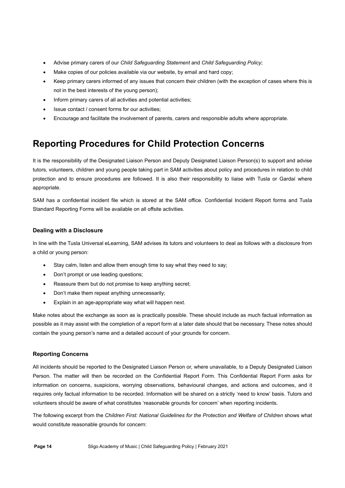- Advise primary carers of our Child Safeguarding Statement and Child Safeguarding Policy;
- Make copies of our policies available via our website, by email and hard copy;
- Keep primary carers informed of any issues that concern their children (with the exception of cases where this is not in the best interests of the young person);
- Inform primary carers of all activities and potential activities;
- Issue contact / consent forms for our activities;
- Encourage and facilitate the involvement of parents, carers and responsible adults where appropriate.

# Reporting Procedures for Child Protection Concerns

It is the responsibility of the Designated Liaison Person and Deputy Designated Liaison Person(s) to support and advise tutors, volunteers, children and young people taking part in SAM activities about policy and procedures in relation to child protection and to ensure procedures are followed. It is also their responsibility to liaise with Tusla or Gardaí where appropriate.

SAM has a confidential incident file which is stored at the SAM office. Confidential Incident Report forms and Tusla Standard Reporting Forms will be available on all offsite activities.

### Dealing with a Disclosure

In line with the Tusla Universal eLearning, SAM advises its tutors and volunteers to deal as follows with a disclosure from a child or young person:

- Stay calm, listen and allow them enough time to say what they need to say;
- Don't prompt or use leading questions;
- Reassure them but do not promise to keep anything secret:
- Don't make them repeat anything unnecessarily;
- Explain in an age-appropriate way what will happen next.

Make notes about the exchange as soon as is practically possible. These should include as much factual information as possible as it may assist with the completion of a report form at a later date should that be necessary. These notes should contain the young person's name and a detailed account of your grounds for concern.

#### Reporting Concerns

All incidents should be reported to the Designated Liaison Person or, where unavailable, to a Deputy Designated Liaison Person. The matter will then be recorded on the Confidential Report Form. This Confidential Report Form asks for information on concerns, suspicions, worrying observations, behavioural changes, and actions and outcomes, and it requires only factual information to be recorded. Information will be shared on a strictly 'need to know' basis. Tutors and volunteers should be aware of what constitutes 'reasonable grounds for concern' when reporting incidents.

The following excerpt from the Children First: National Guidelines for the Protection and Welfare of Children shows what would constitute reasonable grounds for concern: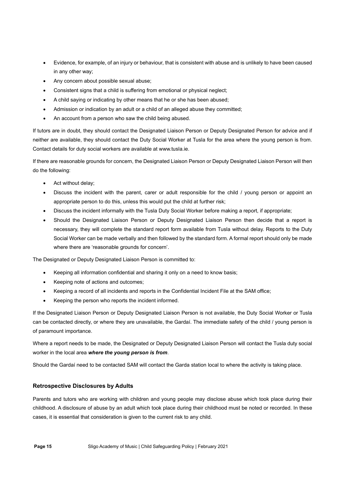- Evidence, for example, of an injury or behaviour, that is consistent with abuse and is unlikely to have been caused in any other way;
- Any concern about possible sexual abuse;
- Consistent signs that a child is suffering from emotional or physical neglect;
- A child saying or indicating by other means that he or she has been abused;
- Admission or indication by an adult or a child of an alleged abuse they committed;
- An account from a person who saw the child being abused.

If tutors are in doubt, they should contact the Designated Liaison Person or Deputy Designated Person for advice and if neither are available, they should contact the Duty Social Worker at Tusla for the area where the young person is from. Contact details for duty social workers are available at www.tusla.ie.

If there are reasonable grounds for concern, the Designated Liaison Person or Deputy Designated Liaison Person will then do the following:

- Act without delay;
- Discuss the incident with the parent, carer or adult responsible for the child / young person or appoint an appropriate person to do this, unless this would put the child at further risk;
- Discuss the incident informally with the Tusla Duty Social Worker before making a report, if appropriate;
- Should the Designated Liaison Person or Deputy Designated Liaison Person then decide that a report is necessary, they will complete the standard report form available from Tusla without delay. Reports to the Duty Social Worker can be made verbally and then followed by the standard form. A formal report should only be made where there are 'reasonable grounds for concern'.

The Designated or Deputy Designated Liaison Person is committed to:

- Keeping all information confidential and sharing it only on a need to know basis;
- Keeping note of actions and outcomes;
- Keeping a record of all incidents and reports in the Confidential Incident File at the SAM office;
- Keeping the person who reports the incident informed.

If the Designated Liaison Person or Deputy Designated Liaison Person is not available, the Duty Social Worker or Tusla can be contacted directly, or where they are unavailable, the Gardaí. The immediate safety of the child / young person is of paramount importance.

Where a report needs to be made, the Designated or Deputy Designated Liaison Person will contact the Tusla duty social worker in the local area where the young person is from.

Should the Gardaí need to be contacted SAM will contact the Garda station local to where the activity is taking place.

### Retrospective Disclosures by Adults

Parents and tutors who are working with children and young people may disclose abuse which took place during their childhood. A disclosure of abuse by an adult which took place during their childhood must be noted or recorded. In these cases, it is essential that consideration is given to the current risk to any child.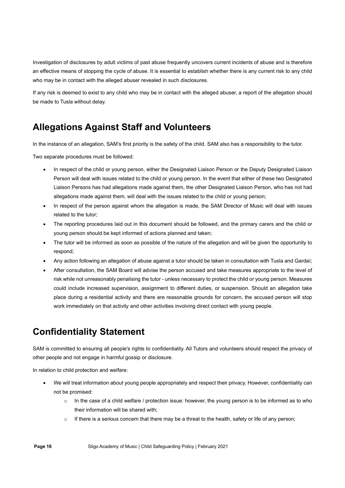Investigation of disclosures by adult victims of past abuse frequently uncovers current incidents of abuse and is therefore an effective means of stopping the cycle of abuse. It is essential to establish whether there is any current risk to any child who may be in contact with the alleged abuser revealed in such disclosures.

If any risk is deemed to exist to any child who may be in contact with the alleged abuser, a report of the allegation should be made to Tusla without delay.

### Allegations Against Staff and Volunteers

In the instance of an allegation, SAM's first priority is the safety of the child. SAM also has a responsibility to the tutor.

Two separate procedures must be followed:

- In respect of the child or young person, either the Designated Liaison Person or the Deputy Designated Liaison Person will deal with issues related to the child or young person. In the event that either of these two Designated Liaison Persons has had allegations made against them, the other Designated Liaison Person, who has not had allegations made against them, will deal with the issues related to the child or young person;
- In respect of the person against whom the allegation is made, the SAM Director of Music will deal with issues related to the tutor;
- The reporting procedures laid out in this document should be followed, and the primary carers and the child or young person should be kept informed of actions planned and taken;
- The tutor will be informed as soon as possible of the nature of the allegation and will be given the opportunity to respond;
- Any action following an allegation of abuse against a tutor should be taken in consultation with Tusla and Gardaí;
- After consultation, the SAM Board will advise the person accused and take measures appropriate to the level of risk while not unreasonably penalising the tutor - unless necessary to protect the child or young person. Measures could include increased supervision, assignment to different duties, or suspension. Should an allegation take place during a residential activity and there are reasonable grounds for concern, the accused person will stop work immediately on that activity and other activities involving direct contact with young people.

## Confidentiality Statement

SAM is committed to ensuring all people's rights to confidentiality. All Tutors and volunteers should respect the privacy of other people and not engage in harmful gossip or disclosure.

In relation to child protection and welfare:

- We will treat information about young people appropriately and respect their privacy. However, confidentiality can not be promised:
	- $\circ$  In the case of a child welfare / protection issue: however, the young person is to be informed as to who their information will be shared with;
	- $\circ$  If there is a serious concern that there may be a threat to the health, safety or life of any person;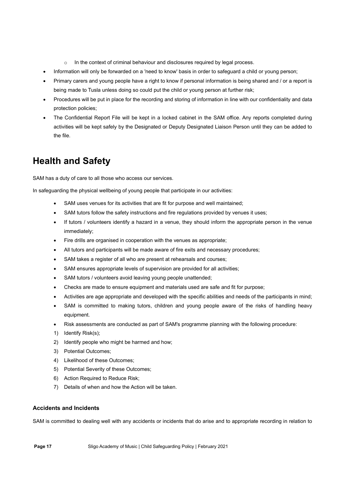- $\circ$  In the context of criminal behaviour and disclosures required by legal process.
- Information will only be forwarded on a 'need to know' basis in order to safeguard a child or young person;
- Primary carers and young people have a right to know if personal information is being shared and / or a report is being made to Tusla unless doing so could put the child or young person at further risk;
- Procedures will be put in place for the recording and storing of information in line with our confidentiality and data protection policies;
- The Confidential Report File will be kept in a locked cabinet in the SAM office. Any reports completed during activities will be kept safely by the Designated or Deputy Designated Liaison Person until they can be added to the file.

# Health and Safety

SAM has a duty of care to all those who access our services.

In safeguarding the physical wellbeing of young people that participate in our activities:

- SAM uses venues for its activities that are fit for purpose and well maintained;
- SAM tutors follow the safety instructions and fire regulations provided by venues it uses;
- If tutors / volunteers identify a hazard in a venue, they should inform the appropriate person in the venue immediately;
- Fire drills are organised in cooperation with the venues as appropriate;
- All tutors and participants will be made aware of fire exits and necessary procedures;
- SAM takes a register of all who are present at rehearsals and courses;
- SAM ensures appropriate levels of supervision are provided for all activities;
- SAM tutors / volunteers avoid leaving young people unattended;
- Checks are made to ensure equipment and materials used are safe and fit for purpose;
- Activities are age appropriate and developed with the specific abilities and needs of the participants in mind;
- SAM is committed to making tutors, children and young people aware of the risks of handling heavy equipment.
- Risk assessments are conducted as part of SAM's programme planning with the following procedure:
- 1) Identify Risk(s);
- 2) Identify people who might be harmed and how;
- 3) Potential Outcomes;
- 4) Likelihood of these Outcomes;
- 5) Potential Severity of these Outcomes;
- 6) Action Required to Reduce Risk;
- 7) Details of when and how the Action will be taken.

#### Accidents and Incidents

SAM is committed to dealing well with any accidents or incidents that do arise and to appropriate recording in relation to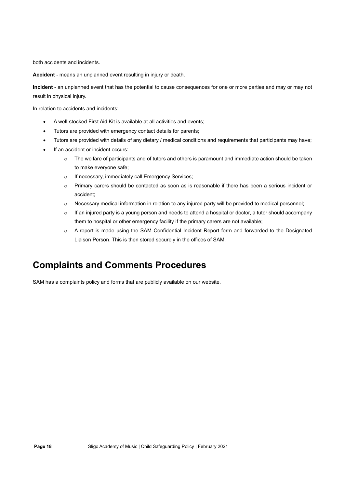both accidents and incidents.

Accident - means an unplanned event resulting in injury or death.

Incident - an unplanned event that has the potential to cause consequences for one or more parties and may or may not result in physical injury.

In relation to accidents and incidents:

- A well-stocked First Aid Kit is available at all activities and events;
- Tutors are provided with emergency contact details for parents;
- Tutors are provided with details of any dietary / medical conditions and requirements that participants may have;
- If an accident or incident occurs:
	- o The welfare of participants and of tutors and others is paramount and immediate action should be taken to make everyone safe;
	- o If necessary, immediately call Emergency Services;
	- o Primary carers should be contacted as soon as is reasonable if there has been a serious incident or accident;
	- o Necessary medical information in relation to any injured party will be provided to medical personnel;
	- $\circ$  If an injured party is a young person and needs to attend a hospital or doctor, a tutor should accompany them to hospital or other emergency facility if the primary carers are not available;
	- o A report is made using the SAM Confidential Incident Report form and forwarded to the Designated Liaison Person. This is then stored securely in the offices of SAM.

### Complaints and Comments Procedures

SAM has a complaints policy and forms that are publicly available on our website.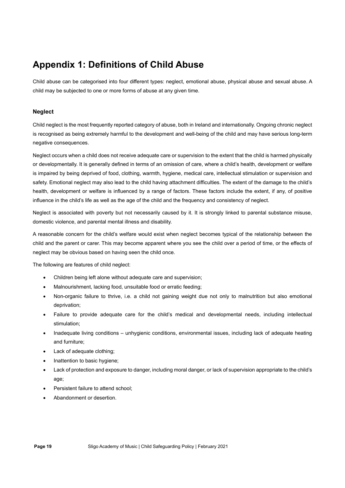# Appendix 1: Definitions of Child Abuse

Child abuse can be categorised into four different types: neglect, emotional abuse, physical abuse and sexual abuse. A child may be subjected to one or more forms of abuse at any given time.

### Neglect

Child neglect is the most frequently reported category of abuse, both in Ireland and internationally. Ongoing chronic neglect is recognised as being extremely harmful to the development and well-being of the child and may have serious long-term negative consequences.

Neglect occurs when a child does not receive adequate care or supervision to the extent that the child is harmed physically or developmentally. It is generally defined in terms of an omission of care, where a child's health, development or welfare is impaired by being deprived of food, clothing, warmth, hygiene, medical care, intellectual stimulation or supervision and safety. Emotional neglect may also lead to the child having attachment difficulties. The extent of the damage to the child's health, development or welfare is influenced by a range of factors. These factors include the extent, if any, of positive influence in the child's life as well as the age of the child and the frequency and consistency of neglect.

Neglect is associated with poverty but not necessarily caused by it. It is strongly linked to parental substance misuse, domestic violence, and parental mental illness and disability.

A reasonable concern for the child's welfare would exist when neglect becomes typical of the relationship between the child and the parent or carer. This may become apparent where you see the child over a period of time, or the effects of neglect may be obvious based on having seen the child once.

The following are features of child neglect:

- Children being left alone without adequate care and supervision;
- Malnourishment, lacking food, unsuitable food or erratic feeding;
- Non-organic failure to thrive, i.e. a child not gaining weight due not only to malnutrition but also emotional deprivation;
- Failure to provide adequate care for the child's medical and developmental needs, including intellectual stimulation;
- Inadequate living conditions unhygienic conditions, environmental issues, including lack of adequate heating and furniture;
- Lack of adequate clothing;
- Inattention to basic hygiene;
- Lack of protection and exposure to danger, including moral danger, or lack of supervision appropriate to the child's age;
- Persistent failure to attend school;
- Abandonment or desertion.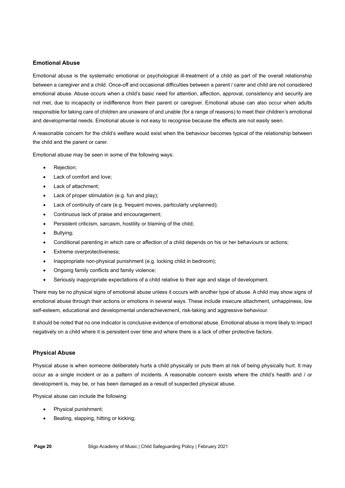### Emotional Abuse

Emotional abuse is the systematic emotional or psychological ill-treatment of a child as part of the overall relationship between a caregiver and a child. Once-off and occasional difficulties between a parent / carer and child are not considered emotional abuse. Abuse occurs when a child's basic need for attention, affection, approval, consistency and security are not met, due to incapacity or indifference from their parent or caregiver. Emotional abuse can also occur when adults responsible for taking care of children are unaware of and unable (for a range of reasons) to meet their children's emotional and developmental needs. Emotional abuse is not easy to recognise because the effects are not easily seen.

A reasonable concern for the child's welfare would exist when the behaviour becomes typical of the relationship between the child and the parent or carer.

Emotional abuse may be seen in some of the following ways:

- Rejection;
- Lack of comfort and love;
- Lack of attachment;
- Lack of proper stimulation (e.g. fun and play);
- Lack of continuity of care (e.g. frequent moves, particularly unplanned);
- Continuous lack of praise and encouragement;
- Persistent criticism, sarcasm, hostility or blaming of the child;
- Bullying;
- Conditional parenting in which care or affection of a child depends on his or her behaviours or actions;
- Extreme overprotectiveness:
- Inappropriate non-physical punishment (e.g. locking child in bedroom);
- Ongoing family conflicts and family violence;
- Seriously inappropriate expectations of a child relative to their age and stage of development.

There may be no physical signs of emotional abuse unless it occurs with another type of abuse. A child may show signs of emotional abuse through their actions or emotions in several ways. These include insecure attachment, unhappiness, low self-esteem, educational and developmental underachievement, risk-taking and aggressive behaviour.

It should be noted that no one indicator is conclusive evidence of emotional abuse. Emotional abuse is more likely to impact negatively on a child where it is persistent over time and where there is a lack of other protective factors.

### Physical Abuse

Physical abuse is when someone deliberately hurts a child physically or puts them at risk of being physically hurt. It may occur as a single incident or as a pattern of incidents. A reasonable concern exists where the child's health and / or development is, may be, or has been damaged as a result of suspected physical abuse.

Physical abuse can include the following:

- Physical punishment;
- Beating, slapping, hitting or kicking;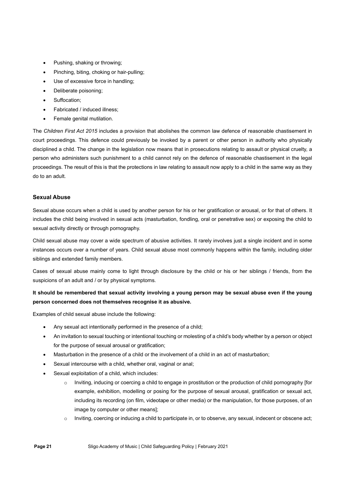- Pushing, shaking or throwing;
- Pinching, biting, choking or hair-pulling;
- Use of excessive force in handling;
- Deliberate poisoning;
- Suffocation;
- Fabricated / induced illness;
- Female genital mutilation.

The Children First Act 2015 includes a provision that abolishes the common law defence of reasonable chastisement in court proceedings. This defence could previously be invoked by a parent or other person in authority who physically disciplined a child. The change in the legislation now means that in prosecutions relating to assault or physical cruelty, a person who administers such punishment to a child cannot rely on the defence of reasonable chastisement in the legal proceedings. The result of this is that the protections in law relating to assault now apply to a child in the same way as they do to an adult.

#### Sexual Abuse

Sexual abuse occurs when a child is used by another person for his or her gratification or arousal, or for that of others. It includes the child being involved in sexual acts (masturbation, fondling, oral or penetrative sex) or exposing the child to sexual activity directly or through pornography.

Child sexual abuse may cover a wide spectrum of abusive activities. It rarely involves just a single incident and in some instances occurs over a number of years. Child sexual abuse most commonly happens within the family, including older siblings and extended family members.

Cases of sexual abuse mainly come to light through disclosure by the child or his or her siblings / friends, from the suspicions of an adult and / or by physical symptoms.

### It should be remembered that sexual activity involving a young person may be sexual abuse even if the young person concerned does not themselves recognise it as abusive.

Examples of child sexual abuse include the following:

- Any sexual act intentionally performed in the presence of a child;
- An invitation to sexual touching or intentional touching or molesting of a child's body whether by a person or object for the purpose of sexual arousal or gratification;
- Masturbation in the presence of a child or the involvement of a child in an act of masturbation;
- Sexual intercourse with a child, whether oral, vaginal or anal;
- Sexual exploitation of a child, which includes:
	- o Inviting, inducing or coercing a child to engage in prostitution or the production of child pornography [for example, exhibition, modelling or posing for the purpose of sexual arousal, gratification or sexual act, including its recording (on film, videotape or other media) or the manipulation, for those purposes, of an image by computer or other means];
	- $\circ$  Inviting, coercing or inducing a child to participate in, or to observe, any sexual, indecent or obscene act;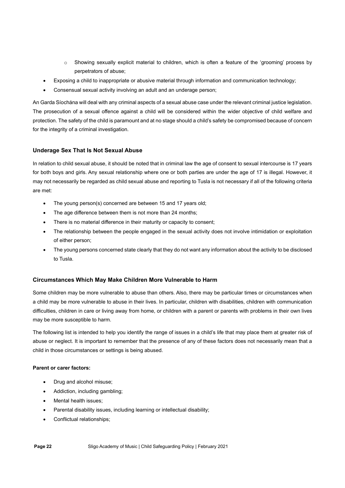- o Showing sexually explicit material to children, which is often a feature of the 'grooming' process by perpetrators of abuse;
- Exposing a child to inappropriate or abusive material through information and communication technology;
- Consensual sexual activity involving an adult and an underage person;

An Garda Síochána will deal with any criminal aspects of a sexual abuse case under the relevant criminal justice legislation. The prosecution of a sexual offence against a child will be considered within the wider objective of child welfare and protection. The safety of the child is paramount and at no stage should a child's safety be compromised because of concern for the integrity of a criminal investigation.

### Underage Sex That Is Not Sexual Abuse

In relation to child sexual abuse, it should be noted that in criminal law the age of consent to sexual intercourse is 17 years for both boys and girls. Any sexual relationship where one or both parties are under the age of 17 is illegal. However, it may not necessarily be regarded as child sexual abuse and reporting to Tusla is not necessary if all of the following criteria are met:

- The young person(s) concerned are between 15 and 17 years old;
- The age difference between them is not more than 24 months;
- There is no material difference in their maturity or capacity to consent;
- The relationship between the people engaged in the sexual activity does not involve intimidation or exploitation of either person;
- The young persons concerned state clearly that they do not want any information about the activity to be disclosed to Tusla.

### Circumstances Which May Make Children More Vulnerable to Harm

Some children may be more vulnerable to abuse than others. Also, there may be particular times or circumstances when a child may be more vulnerable to abuse in their lives. In particular, children with disabilities, children with communication difficulties, children in care or living away from home, or children with a parent or parents with problems in their own lives may be more susceptible to harm.

The following list is intended to help you identify the range of issues in a child's life that may place them at greater risk of abuse or neglect. It is important to remember that the presence of any of these factors does not necessarily mean that a child in those circumstances or settings is being abused.

#### Parent or carer factors:

- Drug and alcohol misuse;
- Addiction, including gambling;
- Mental health issues:
- Parental disability issues, including learning or intellectual disability;
- Conflictual relationships;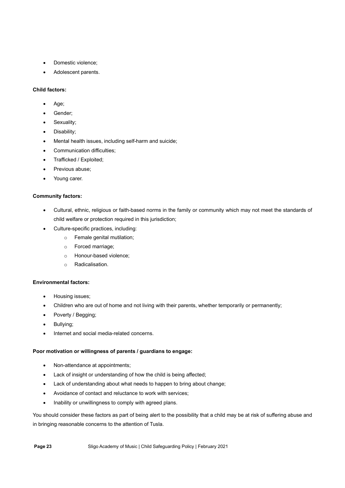- Domestic violence:
- Adolescent parents.

#### Child factors:

- Age;
- Gender;
- Sexuality;
- Disability;
- Mental health issues, including self-harm and suicide;
- Communication difficulties:
- Trafficked / Exploited;
- Previous abuse;
- Young carer.

#### Community factors:

- Cultural, ethnic, religious or faith-based norms in the family or community which may not meet the standards of child welfare or protection required in this jurisdiction;
- Culture-specific practices, including:
	- o Female genital mutilation;
	- o Forced marriage;
	- o Honour-based violence;
	- o Radicalisation.

### Environmental factors:

- Housing issues;
- Children who are out of home and not living with their parents, whether temporarily or permanently;
- Poverty / Begging;
- Bullying;
- Internet and social media-related concerns.

#### Poor motivation or willingness of parents / guardians to engage:

- Non-attendance at appointments;
- Lack of insight or understanding of how the child is being affected;
- Lack of understanding about what needs to happen to bring about change;
- Avoidance of contact and reluctance to work with services;
- Inability or unwillingness to comply with agreed plans.

You should consider these factors as part of being alert to the possibility that a child may be at risk of suffering abuse and in bringing reasonable concerns to the attention of Tusla.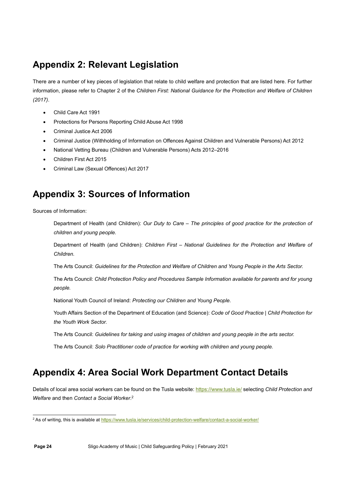# Appendix 2: Relevant Legislation

There are a number of key pieces of legislation that relate to child welfare and protection that are listed here. For further information, please refer to Chapter 2 of the Children First: National Guidance for the Protection and Welfare of Children (2017).

- Child Care Act 1991
- Protections for Persons Reporting Child Abuse Act 1998
- Criminal Justice Act 2006
- Criminal Justice (Withholding of Information on Offences Against Children and Vulnerable Persons) Act 2012
- National Vetting Bureau (Children and Vulnerable Persons) Acts 2012–2016
- Children First Act 2015
- Criminal Law (Sexual Offences) Act 2017

# Appendix 3: Sources of Information

Sources of Information:

Department of Health (and Children): Our Duty to Care – The principles of good practice for the protection of children and young people.

Department of Health (and Children): Children First - National Guidelines for the Protection and Welfare of Children.

The Arts Council: Guidelines for the Protection and Welfare of Children and Young People in the Arts Sector.

The Arts Council: Child Protection Policy and Procedures Sample Information available for parents and for young people.

National Youth Council of Ireland: Protecting our Children and Young People.

Youth Affairs Section of the Department of Education (and Science): Code of Good Practice | Child Protection for the Youth Work Sector.

The Arts Council: Guidelines for taking and using images of children and young people in the arts sector.

The Arts Council: Solo Practitioner code of practice for working with children and young people.

# Appendix 4: Area Social Work Department Contact Details

Details of local area social workers can be found on the Tusla website: https://www.tusla.ie/ selecting Child Protection and Welfare and then Contact a Social Worker.<sup>2</sup>

<sup>&</sup>lt;sup>2</sup> As of writing, this is available at <u>https://www.tusla.ie/services/child-protection-welfare/contact-a-social-worker/</u>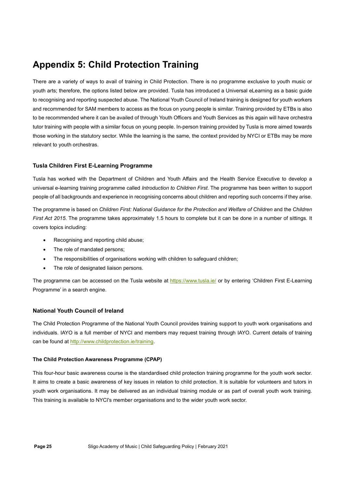## Appendix 5: Child Protection Training

There are a variety of ways to avail of training in Child Protection. There is no programme exclusive to youth music or youth arts; therefore, the options listed below are provided. Tusla has introduced a Universal eLearning as a basic guide to recognising and reporting suspected abuse. The National Youth Council of Ireland training is designed for youth workers and recommended for SAM members to access as the focus on young people is similar. Training provided by ETBs is also to be recommended where it can be availed of through Youth Officers and Youth Services as this again will have orchestra tutor training with people with a similar focus on young people. In-person training provided by Tusla is more aimed towards those working in the statutory sector. While the learning is the same, the context provided by NYCI or ETBs may be more relevant to youth orchestras.

### Tusla Children First E-Learning Programme

Tusla has worked with the Department of Children and Youth Affairs and the Health Service Executive to develop a universal e-learning training programme called Introduction to Children First. The programme has been written to support people of all backgrounds and experience in recognising concerns about children and reporting such concerns if they arise.

The programme is based on Children First: National Guidance for the Protection and Welfare of Children and the Children First Act 2015. The programme takes approximately 1.5 hours to complete but it can be done in a number of sittings. It covers topics including:

- Recognising and reporting child abuse;
- The role of mandated persons;
- The responsibilities of organisations working with children to safeguard children;
- The role of designated liaison persons.

The programme can be accessed on the Tusla website at https://www.tusla.ie/ or by entering 'Children First E-Learning Programme' in a search engine.

#### National Youth Council of Ireland

The Child Protection Programme of the National Youth Council provides training support to youth work organisations and individuals. IAYO is a full member of NYCI and members may request training through IAYO. Current details of training can be found at http://www.childprotection.ie/training.

#### The Child Protection Awareness Programme (CPAP)

This four-hour basic awareness course is the standardised child protection training programme for the youth work sector. It aims to create a basic awareness of key issues in relation to child protection. It is suitable for volunteers and tutors in youth work organisations. It may be delivered as an individual training module or as part of overall youth work training. This training is available to NYCI's member organisations and to the wider youth work sector.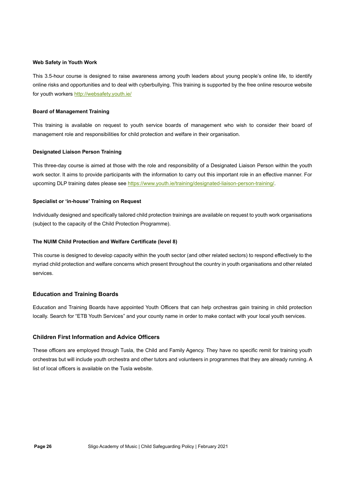#### Web Safety in Youth Work

This 3.5-hour course is designed to raise awareness among youth leaders about young people's online life, to identify online risks and opportunities and to deal with cyberbullying. This training is supported by the free online resource website for youth workers http://websafety.youth.ie/

#### Board of Management Training

This training is available on request to youth service boards of management who wish to consider their board of management role and responsibilities for child protection and welfare in their organisation.

#### Designated Liaison Person Training

This three-day course is aimed at those with the role and responsibility of a Designated Liaison Person within the youth work sector. It aims to provide participants with the information to carry out this important role in an effective manner. For upcoming DLP training dates please see https://www.youth.ie/training/designated-liaison-person-training/.

#### Specialist or 'in-house' Training on Request

Individually designed and specifically tailored child protection trainings are available on request to youth work organisations (subject to the capacity of the Child Protection Programme).

#### The NUIM Child Protection and Welfare Certificate (level 8)

This course is designed to develop capacity within the youth sector (and other related sectors) to respond effectively to the myriad child protection and welfare concerns which present throughout the country in youth organisations and other related services.

#### Education and Training Boards

Education and Training Boards have appointed Youth Officers that can help orchestras gain training in child protection locally. Search for "ETB Youth Services" and your county name in order to make contact with your local youth services.

#### Children First Information and Advice Officers

These officers are employed through Tusla, the Child and Family Agency. They have no specific remit for training youth orchestras but will include youth orchestra and other tutors and volunteers in programmes that they are already running. A list of local officers is available on the Tusla website.